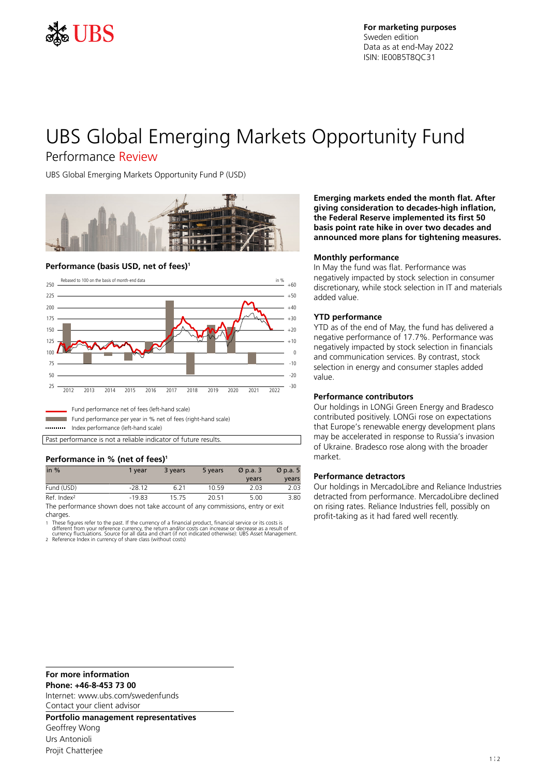

# UBS Global Emerging Markets Opportunity Fund

# Performance Review

UBS Global Emerging Markets Opportunity Fund P (USD)



#### **Performance (basis USD, net of fees)<sup>1</sup>**



Index performance (left-hand scale)

Past performance is not a reliable indicator of future results.

## **Performance in % (net of fees)<sup>1</sup>**

| in $%$                                                                         | 1 vear   | 3 years | 5 years | $\varnothing$ p.a. 3 | $\varnothing$ p.a. 5 |
|--------------------------------------------------------------------------------|----------|---------|---------|----------------------|----------------------|
|                                                                                |          |         |         | vears                | vears                |
| Fund (USD)                                                                     | $-28.12$ | 6 2 1   | 10.59   | 2.03                 | 2.03                 |
| Ref. Index <sup>2</sup>                                                        | $-19.83$ | 1575    | 20.51   | 5.00                 | 3.80                 |
| The performance chouse does not take account of any commissions, ontar or ovit |          |         |         |                      |                      |

The performance shown does not take account of any commissions, entry or exit charges.

1 These figures refer to the past. If the currency of a financial product, financial service or its costs is

different from your reference currency, the return and/or costs can increase or decrease as a result of<br>currency fluctuations. Source for all data and chart (if not indicated otherwise): UBS Asset Management.<br>2. Reference

**Emerging markets ended the month flat. After giving consideration to decades-high inflation, the Federal Reserve implemented its first 50 basis point rate hike in over two decades and announced more plans for tightening measures.**

#### **Monthly performance**

In May the fund was flat. Performance was negatively impacted by stock selection in consumer discretionary, while stock selection in IT and materials added value.

#### **YTD performance**

YTD as of the end of May, the fund has delivered a negative performance of 17.7%. Performance was negatively impacted by stock selection in financials and communication services. By contrast, stock selection in energy and consumer staples added value.

#### **Performance contributors**

Our holdings in LONGi Green Energy and Bradesco contributed positively. LONGi rose on expectations that Europe's renewable energy development plans may be accelerated in response to Russia's invasion of Ukraine. Bradesco rose along with the broader market.

#### **Performance detractors**

Our holdings in MercadoLibre and Reliance Industries detracted from performance. MercadoLibre declined on rising rates. Reliance Industries fell, possibly on profit-taking as it had fared well recently.

**For more information**

**Phone: +46-8-453 73 00**

Internet: www.ubs.com/swedenfunds Contact your client advisor

**Portfolio management representatives** Geoffrey Wong Urs Antonioli Projit Chatterjee